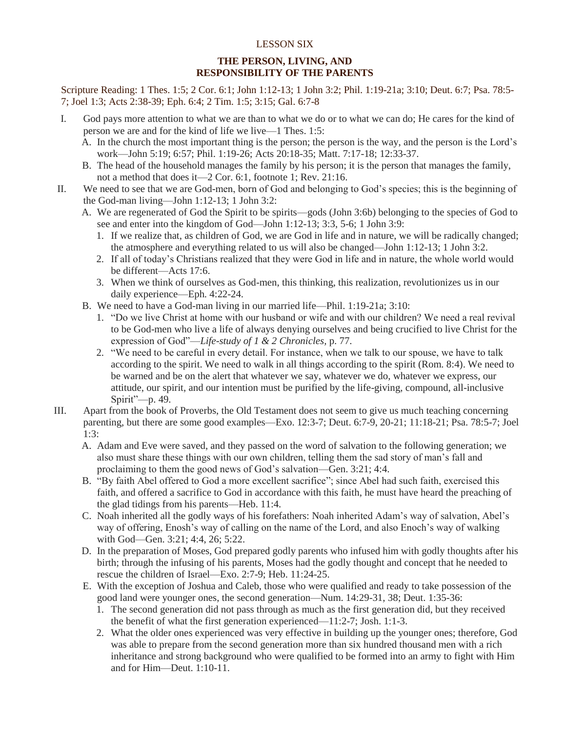## LESSON SIX

## **THE PERSON, LIVING, AND RESPONSIBILITY OF THE PARENTS**

Scripture Reading: 1 Thes. 1:5; 2 Cor. 6:1; John 1:12-13; 1 John 3:2; Phil. 1:19-21a; 3:10; Deut. 6:7; Psa. 78:5- 7; Joel 1:3; Acts 2:38-39; Eph. 6:4; 2 Tim. 1:5; 3:15; Gal. 6:7-8

- I. God pays more attention to what we are than to what we do or to what we can do; He cares for the kind of person we are and for the kind of life we live—1 Thes. 1:5:
	- A. In the church the most important thing is the person; the person is the way, and the person is the Lord's work—John 5:19; 6:57; Phil. 1:19-26; Acts 20:18-35; Matt. 7:17-18; 12:33-37.
	- B. The head of the household manages the family by his person; it is the person that manages the family, not a method that does it—2 Cor. 6:1, footnote 1; Rev. 21:16.
- II. We need to see that we are God-men, born of God and belonging to God's species; this is the beginning of the God-man living—John 1:12-13; 1 John 3:2:
	- A. We are regenerated of God the Spirit to be spirits—gods (John 3:6b) belonging to the species of God to see and enter into the kingdom of God—John 1:12-13; 3:3, 5-6; 1 John 3:9:
		- 1. If we realize that, as children of God, we are God in life and in nature, we will be radically changed; the atmosphere and everything related to us will also be changed—John 1:12-13; 1 John 3:2.
		- 2. If all of today's Christians realized that they were God in life and in nature, the whole world would be different—Acts 17:6.
		- 3. When we think of ourselves as God-men, this thinking, this realization, revolutionizes us in our daily experience—Eph. 4:22-24.
	- B. We need to have a God-man living in our married life—Phil. 1:19-21a; 3:10:
		- 1. "Do we live Christ at home with our husband or wife and with our children? We need a real revival to be God-men who live a life of always denying ourselves and being crucified to live Christ for the expression of God"—*Life-study of 1 & 2 Chronicles,* p. 77.
		- 2. "We need to be careful in every detail. For instance, when we talk to our spouse, we have to talk according to the spirit. We need to walk in all things according to the spirit (Rom. 8:4). We need to be warned and be on the alert that whatever we say, whatever we do, whatever we express, our attitude, our spirit, and our intention must be purified by the life-giving, compound, all-inclusive Spirit"—p. 49.
- III. Apart from the book of Proverbs, the Old Testament does not seem to give us much teaching concerning parenting, but there are some good examples—Exo. 12:3-7; Deut. 6:7-9, 20-21; 11:18-21; Psa. 78:5-7; Joel 1:3:
	- A. Adam and Eve were saved, and they passed on the word of salvation to the following generation; we also must share these things with our own children, telling them the sad story of man's fall and proclaiming to them the good news of God's salvation—Gen. 3:21; 4:4.
	- B. "By faith Abel offered to God a more excellent sacrifice"; since Abel had such faith, exercised this faith, and offered a sacrifice to God in accordance with this faith, he must have heard the preaching of the glad tidings from his parents—Heb. 11:4.
	- C. Noah inherited all the godly ways of his forefathers: Noah inherited Adam's way of salvation, Abel's way of offering, Enosh's way of calling on the name of the Lord, and also Enoch's way of walking with God—Gen. 3:21; 4:4, 26; 5:22.
	- D. In the preparation of Moses, God prepared godly parents who infused him with godly thoughts after his birth; through the infusing of his parents, Moses had the godly thought and concept that he needed to rescue the children of Israel—Exo. 2:7-9; Heb. 11:24-25.
	- E. With the exception of Joshua and Caleb, those who were qualified and ready to take possession of the good land were younger ones, the second generation—Num. 14:29-31, 38; Deut. 1:35-36:
		- 1. The second generation did not pass through as much as the first generation did, but they received the benefit of what the first generation experienced—11:2-7; Josh. 1:1-3.
		- 2. What the older ones experienced was very effective in building up the younger ones; therefore, God was able to prepare from the second generation more than six hundred thousand men with a rich inheritance and strong background who were qualified to be formed into an army to fight with Him and for Him—Deut. 1:10-11.